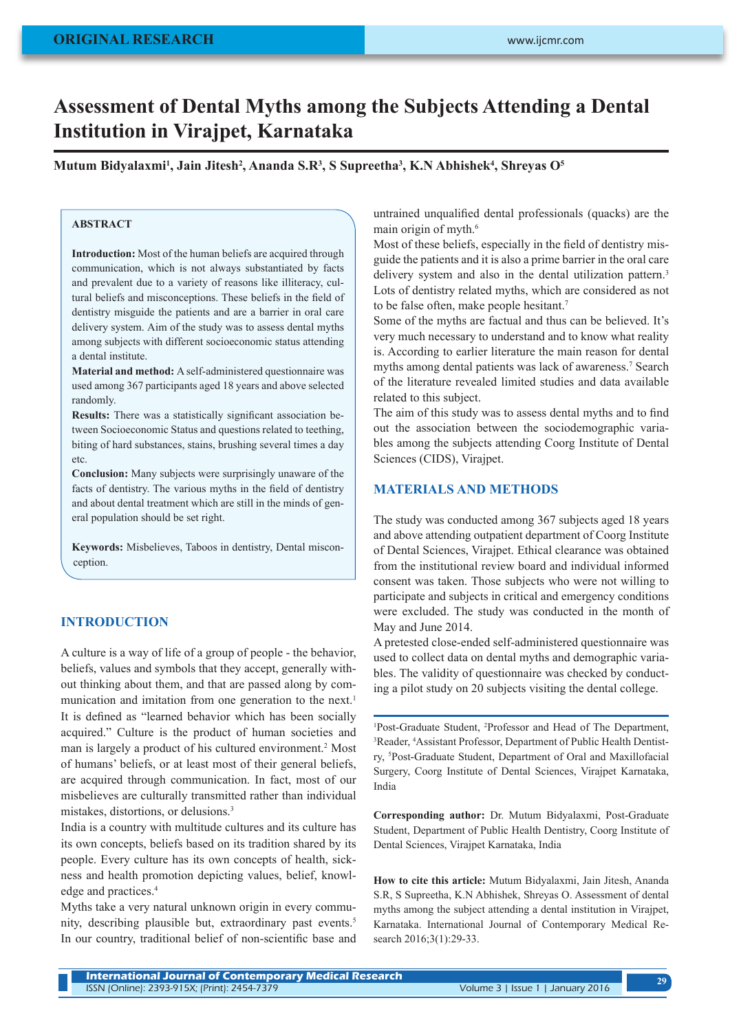# **Assessment of Dental Myths among the Subjects Attending a Dental Institution in Virajpet, Karnataka**

**Mutum Bidyalaxmi1 , Jain Jitesh2 , Ananda S.R3 , S Supreetha3 , K.N Abhishek4 , Shreyas O5**

## **ABSTRACT**

**Introduction:** Most of the human beliefs are acquired through communication, which is not always substantiated by facts and prevalent due to a variety of reasons like illiteracy, cultural beliefs and misconceptions. These beliefs in the field of dentistry misguide the patients and are a barrier in oral care delivery system. Aim of the study was to assess dental myths among subjects with different socioeconomic status attending a dental institute.

**Material and method:** A self-administered questionnaire was used among 367 participants aged 18 years and above selected randomly.

**Results:** There was a statistically significant association between Socioeconomic Status and questions related to teething, biting of hard substances, stains, brushing several times a day etc.

**Conclusion:** Many subjects were surprisingly unaware of the facts of dentistry. The various myths in the field of dentistry and about dental treatment which are still in the minds of general population should be set right.

**Keywords:** Misbelieves, Taboos in dentistry, Dental misconception.

#### **INTRODUCTION**

A culture is a way of life of a group of people - the behavior, beliefs, values and symbols that they accept, generally without thinking about them, and that are passed along by communication and imitation from one generation to the next.<sup>1</sup> It is defined as "learned behavior which has been socially acquired." Culture is the product of human societies and man is largely a product of his cultured environment.<sup>2</sup> Most of humans' beliefs, or at least most of their general beliefs, are acquired through communication. In fact, most of our misbelieves are culturally transmitted rather than individual mistakes, distortions, or delusions.3

India is a country with multitude cultures and its culture has its own concepts, beliefs based on its tradition shared by its people. Every culture has its own concepts of health, sickness and health promotion depicting values, belief, knowledge and practices.<sup>4</sup>

Myths take a very natural unknown origin in every community, describing plausible but, extraordinary past events.<sup>5</sup> In our country, traditional belief of non-scientific base and untrained unqualified dental professionals (quacks) are the main origin of myth.<sup>6</sup>

Most of these beliefs, especially in the field of dentistry misguide the patients and it is also a prime barrier in the oral care delivery system and also in the dental utilization pattern.<sup>3</sup> Lots of dentistry related myths, which are considered as not to be false often, make people hesitant.7

Some of the myths are factual and thus can be believed. It's very much necessary to understand and to know what reality is. According to earlier literature the main reason for dental myths among dental patients was lack of awareness.<sup>7</sup> Search of the literature revealed limited studies and data available related to this subject.

The aim of this study was to assess dental myths and to find out the association between the sociodemographic variables among the subjects attending Coorg Institute of Dental Sciences (CIDS), Virajpet.

## **MATERIALS AND METHODS**

The study was conducted among 367 subjects aged 18 years and above attending outpatient department of Coorg Institute of Dental Sciences, Virajpet. Ethical clearance was obtained from the institutional review board and individual informed consent was taken. Those subjects who were not willing to participate and subjects in critical and emergency conditions were excluded. The study was conducted in the month of May and June 2014.

A pretested close-ended self-administered questionnaire was used to collect data on dental myths and demographic variables. The validity of questionnaire was checked by conducting a pilot study on 20 subjects visiting the dental college.

1 Post-Graduate Student, 2 Professor and Head of The Department, <sup>3</sup>Reader, <sup>4</sup>Assistant Professor, Department of Public Health Dentistry, 5 Post-Graduate Student, Department of Oral and Maxillofacial Surgery, Coorg Institute of Dental Sciences, Virajpet Karnataka, India

**Corresponding author:** Dr. Mutum Bidyalaxmi, Post-Graduate Student, Department of Public Health Dentistry, Coorg Institute of Dental Sciences, Virajpet Karnataka, India

**How to cite this article:** Mutum Bidyalaxmi, Jain Jitesh, Ananda S.R, S Supreetha, K.N Abhishek, Shreyas O. Assessment of dental myths among the subject attending a dental institution in Virajpet, Karnataka. International Journal of Contemporary Medical Research 2016;3(1):29-33.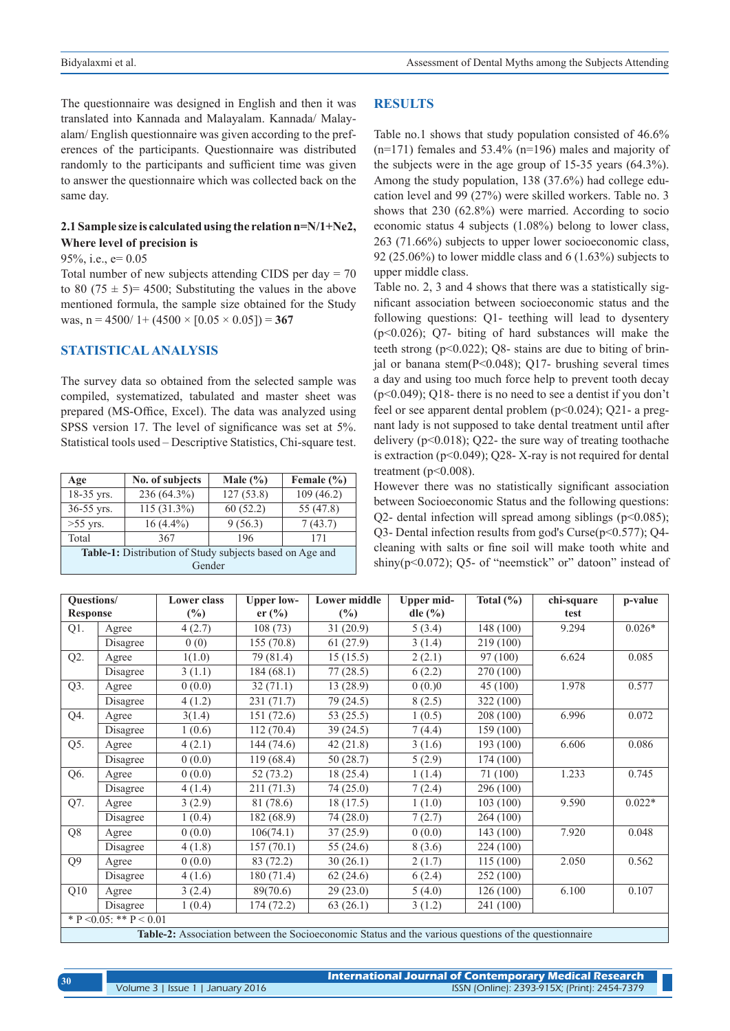The questionnaire was designed in English and then it was translated into Kannada and Malayalam. Kannada/ Malayalam/ English questionnaire was given according to the preferences of the participants. Questionnaire was distributed randomly to the participants and sufficient time was given to answer the questionnaire which was collected back on the same day.

## **2.1 Sample size is calculated using the relation n=N/1+Ne2, Where level of precision is**

95%, i.e., e= 0.05

Total number of new subjects attending CIDS per day = 70 to 80 (75  $\pm$  5)= 4500; Substituting the values in the above mentioned formula, the sample size obtained for the Study was,  $n = 4500/1 + (4500 \times [0.05 \times 0.05]) = 367$ 

## **STATISTICAL ANALYSIS**

The survey data so obtained from the selected sample was compiled, systematized, tabulated and master sheet was prepared (MS-Office, Excel). The data was analyzed using SPSS version 17. The level of significance was set at 5%. Statistical tools used – Descriptive Statistics, Chi-square test.

| Age                                                      | No. of subjects | Male $(\% )$ | Female $(\% )$ |  |  |  |
|----------------------------------------------------------|-----------------|--------------|----------------|--|--|--|
| 18-35 yrs.                                               | 236 (64.3%)     |              | 109(46.2)      |  |  |  |
| 36-55 yrs.                                               | 115 (31.3%)     | 60(52.2)     | 55 (47.8)      |  |  |  |
| $>55$ yrs.                                               | $16(4.4\%)$     | 9(56.3)      | 7(43.7)        |  |  |  |
| Total                                                    | 367             | 196          | 171            |  |  |  |
| Table-1: Distribution of Study subjects based on Age and |                 |              |                |  |  |  |
| Gender                                                   |                 |              |                |  |  |  |

#### **RESULTS**

Table no.1 shows that study population consisted of 46.6%  $(n=171)$  females and 53.4%  $(n=196)$  males and majority of the subjects were in the age group of 15-35 years (64.3%). Among the study population, 138 (37.6%) had college education level and 99 (27%) were skilled workers. Table no. 3 shows that 230 (62.8%) were married. According to socio economic status 4 subjects (1.08%) belong to lower class, 263 (71.66%) subjects to upper lower socioeconomic class, 92 (25.06%) to lower middle class and 6 (1.63%) subjects to upper middle class.

Table no. 2, 3 and 4 shows that there was a statistically significant association between socioeconomic status and the following questions: Q1- teething will lead to dysentery (p<0.026); Q7- biting of hard substances will make the teeth strong  $(p<0.022)$ ; Q8- stains are due to biting of brinial or banana stem $(P< 0.048)$ ; O17- brushing several times a day and using too much force help to prevent tooth decay (p<0.049); Q18- there is no need to see a dentist if you don't feel or see apparent dental problem (p<0.024); Q21- a pregnant lady is not supposed to take dental treatment until after delivery  $(p<0.018)$ ; Q22- the sure way of treating toothache is extraction  $(p<0.049)$ ; Q28-X-ray is not required for dental treatment ( $p<0.008$ ).

However there was no statistically significant association between Socioeconomic Status and the following questions: Q2- dental infection will spread among siblings ( $p<0.085$ ); Q3- Dental infection results from god's Curse(p<0.577); Q4 cleaning with salts or fine soil will make tooth white and shiny( $p<0.072$ ); Q5- of "neemstick" or" datoon" instead of

| Questions/                                                                                           |          | Lower class   | <b>Upper low-</b> | <b>Lower middle</b> | <b>Upper mid-</b> | Total $(\% )$ | chi-square | p-value  |
|------------------------------------------------------------------------------------------------------|----------|---------------|-------------------|---------------------|-------------------|---------------|------------|----------|
| <b>Response</b>                                                                                      |          | $\frac{6}{2}$ | er (%)            | $\frac{6}{2}$       | dle $(\% )$       |               | test       |          |
| Q1.                                                                                                  | Agree    | 4(2.7)        | 108(73)           | 31(20.9)            | 5(3.4)            | 148 (100)     | 9.294      | $0.026*$ |
|                                                                                                      | Disagree | 0(0)          | 155(70.8)         | 61(27.9)            | 3(1.4)            | 219 (100)     |            |          |
| Q2.                                                                                                  | Agree    | 1(1.0)        | 79 (81.4)         | 15(15.5)            | 2(2.1)            | 97 (100)      | 6.624      | 0.085    |
|                                                                                                      | Disagree | 3(1.1)        | 184(68.1)         | 77(28.5)            | 6(2.2)            | 270 (100)     |            |          |
| Q3.                                                                                                  | Agree    | 0(0.0)        | 32(71.1)          | 13(28.9)            | 0(0.00)           | 45 (100)      | 1.978      | 0.577    |
|                                                                                                      | Disagree | 4(1.2)        | 231 (71.7)        | 79 (24.5)           | 8(2.5)            | 322 (100)     |            |          |
| Q4.                                                                                                  | Agree    | 3(1.4)        | 151(72.6)         | 53 $(25.5)$         | 1(0.5)            | 208 (100)     | 6.996      | 0.072    |
|                                                                                                      | Disagree | 1(0.6)        | 112(70.4)         | 39(24.5)            | 7(4.4)            | 159(100)      |            |          |
| Q5.                                                                                                  | Agree    | 4(2.1)        | 144(74.6)         | 42 (21.8)           | 3(1.6)            | 193 (100)     | 6.606      | 0.086    |
|                                                                                                      | Disagree | 0(0.0)        | 119(68.4)         | 50 (28.7)           | 5(2.9)            | 174 (100)     |            |          |
| Q6.                                                                                                  | Agree    | 0(0.0)        | 52(73.2)          | 18 (25.4)           | 1(1.4)            | 71 (100)      | 1.233      | 0.745    |
|                                                                                                      | Disagree | 4(1.4)        | 211(71.3)         | 74(25.0)            | 7(2.4)            | 296 (100)     |            |          |
| Q7.                                                                                                  | Agree    | 3(2.9)        | 81 (78.6)         | 18(17.5)            | 1(1.0)            | 103(100)      | 9.590      | $0.022*$ |
|                                                                                                      | Disagree | 1(0.4)        | 182 (68.9)        | 74(28.0)            | 7(2.7)            | 264 (100)     |            |          |
| Q8                                                                                                   | Agree    | 0(0.0)        | 106(74.1)         | 37(25.9)            | 0(0.0)            | 143 (100)     | 7.920      | 0.048    |
|                                                                                                      | Disagree | 4(1.8)        | 157(70.1)         | 55 $(24.6)$         | 8(3.6)            | 224 (100)     |            |          |
| Q <sub>9</sub>                                                                                       | Agree    | 0(0.0)        | 83 (72.2)         | 30(26.1)            | 2(1.7)            | 115(100)      | 2.050      | 0.562    |
|                                                                                                      | Disagree | 4(1.6)        | 180 (71.4)        | 62(24.6)            | 6(2.4)            | 252 (100)     |            |          |
| Q10                                                                                                  | Agree    | 3(2.4)        | 89(70.6)          | 29(23.0)            | 5(4.0)            | 126 (100)     | 6.100      | 0.107    |
|                                                                                                      | Disagree | 1(0.4)        | 174(72.2)         | 63(26.1)            | 3(1.2)            | 241 (100)     |            |          |
| * P < 0.05; ** P < 0.01                                                                              |          |               |                   |                     |                   |               |            |          |
| Table-2: Association between the Socioeconomic Status and the various questions of the questionnaire |          |               |                   |                     |                   |               |            |          |

| 30 | / International Journal of Contemporary Medical Research |                                              |  |  |  |  |  |
|----|----------------------------------------------------------|----------------------------------------------|--|--|--|--|--|
|    | Volume 3   Issue 1   January 2016                        | ISSN (Online): 2393-915X; (Print): 2454-7379 |  |  |  |  |  |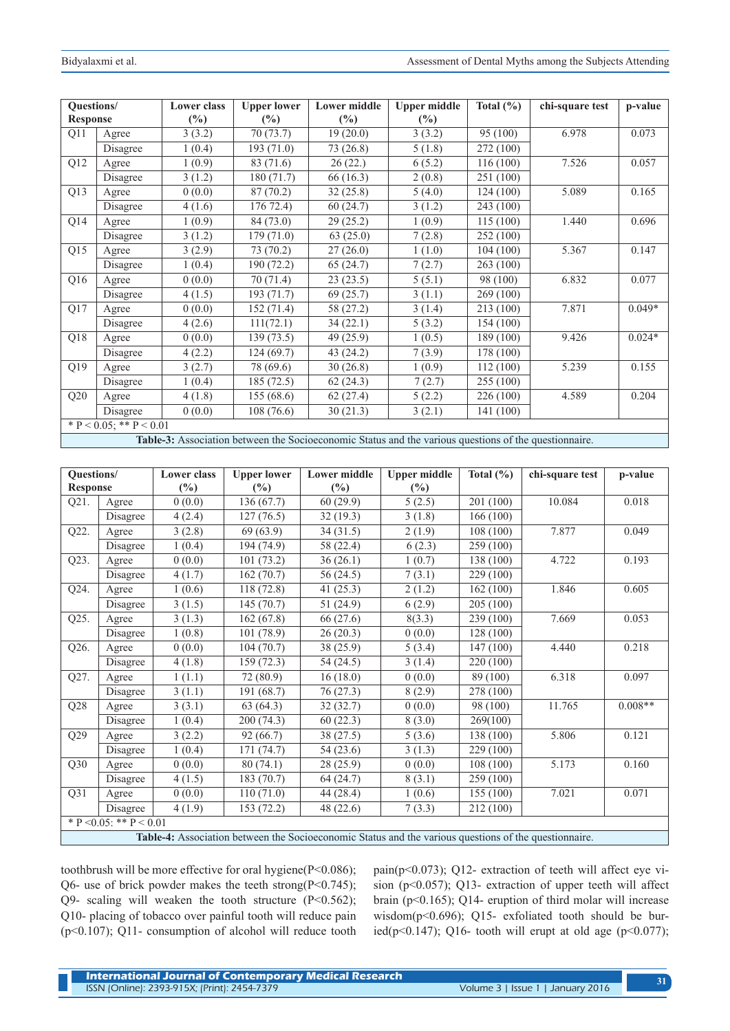| Questions/                                                                                            |                              | <b>Lower class</b> | <b>Upper lower</b> | <b>Lower middle</b> | <b>Upper middle</b> | Total $(\% )$ | chi-square test | p-value  |
|-------------------------------------------------------------------------------------------------------|------------------------------|--------------------|--------------------|---------------------|---------------------|---------------|-----------------|----------|
| <b>Response</b>                                                                                       |                              | $\frac{6}{2}$      | $\frac{6}{2}$      | $\frac{6}{2}$       | $\frac{6}{2}$       |               |                 |          |
| Q11                                                                                                   | Agree                        | 3(3.2)             | 70(73.7)           | 19(20.0)            | 3(3.2)              | 95 (100)      | 6.978           | 0.073    |
|                                                                                                       | Disagree                     | 1(0.4)             | 193(71.0)          | 73 (26.8)           | 5(1.8)              | 272 (100)     |                 |          |
| Q12                                                                                                   | Agree                        | 1(0.9)             | 83 (71.6)          | 26(22)              | 6(5.2)              | 116(100)      | 7.526           | 0.057    |
|                                                                                                       | Disagree                     | 3(1.2)             | 180 (71.7)         | 66 (16.3)           | 2(0.8)              | 251 (100)     |                 |          |
| Q13                                                                                                   | Agree                        | 0(0.0)             | 87(70.2)           | 32(25.8)            | 5(4.0)              | 124(100)      | 5.089           | 0.165    |
|                                                                                                       | Disagree                     | 4(1.6)             | 176 72.4)          | 60(24.7)            | 3(1.2)              | 243 (100)     |                 |          |
| Q14                                                                                                   | Agree                        | 1(0.9)             | 84 (73.0)          | 29(25.2)            | 1(0.9)              | 115(100)      | 1.440           | 0.696    |
|                                                                                                       | Disagree                     | 3(1.2)             | 179(71.0)          | 63(25.0)            | 7(2.8)              | 252 (100)     |                 |          |
| Q15                                                                                                   | Agree                        | 3(2.9)             | 73 (70.2)          | 27(26.0)            | 1(1.0)              | 104(100)      | 5.367           | 0.147    |
|                                                                                                       | Disagree                     | 1(0.4)             | 190(72.2)          | 65(24.7)            | 7(2.7)              | 263 (100)     |                 |          |
| Q16                                                                                                   | Agree                        | 0(0.0)             | 70(71.4)           | 23(23.5)            | 5(5.1)              | 98 (100)      | 6.832           | 0.077    |
|                                                                                                       | Disagree                     | 4(1.5)             | 193(71.7)          | 69(25.7)            | 3(1.1)              | 269 (100)     |                 |          |
| Q17                                                                                                   | Agree                        | 0(0.0)             | 152(71.4)          | 58 (27.2)           | 3(1.4)              | 213 (100)     | 7.871           | $0.049*$ |
|                                                                                                       | Disagree                     | 4(2.6)             | 111(72.1)          | 34 (22.1)           | 5(3.2)              | 154 (100)     |                 |          |
| Q18                                                                                                   | Agree                        | 0(0.0)             | 139(73.5)          | 49 (25.9)           | 1(0.5)              | 189 (100)     | 9.426           | $0.024*$ |
|                                                                                                       | Disagree                     | 4(2.2)             | 124(69.7)          | 43 (24.2)           | 7(3.9)              | 178 (100)     |                 |          |
| Q19                                                                                                   | Agree                        | 3(2.7)             | 78 (69.6)          | 30(26.8)            | 1(0.9)              | 112(100)      | 5.239           | 0.155    |
|                                                                                                       | Disagree                     | 1(0.4)             | 185 (72.5)         | 62(24.3)            | 7(2.7)              | 255 (100)     |                 |          |
| Q20                                                                                                   | Agree                        | 4(1.8)             | 155(68.6)          | 62(27.4)            | 5(2.2)              | 226 (100)     | 4.589           | 0.204    |
|                                                                                                       | Disagree                     | 0(0.0)             | 108 (76.6)         | 30(21.3)            | 3(2.1)              | 141 (100)     |                 |          |
|                                                                                                       | * $P < 0.05$ ; ** $P < 0.01$ |                    |                    |                     |                     |               |                 |          |
| Table-3: Association between the Socioeconomic Status and the various questions of the questionnaire. |                              |                    |                    |                     |                     |               |                 |          |

| Questions/                                                                                            |                 | <b>Lower</b> class | <b>Upper lower</b> | <b>Lower middle</b> | <b>Upper middle</b> | Total $(\% )$ | chi-square test | p-value   |
|-------------------------------------------------------------------------------------------------------|-----------------|--------------------|--------------------|---------------------|---------------------|---------------|-----------------|-----------|
| <b>Response</b>                                                                                       |                 | $(\%)$             | $(\%)$             | $(\%)$              | $(\%)$              |               |                 |           |
| Q21.                                                                                                  | Agree           | 0(0.0)             | 136(67.7)          | 60(29.9)            | 5(2.5)              | 201(100)      | 10.084          | 0.018     |
|                                                                                                       | Disagree        | 4(2.4)             | 127(76.5)          | 32(19.3)            | 3(1.8)              | 166(100)      |                 |           |
| Q22.                                                                                                  | Agree           | 3(2.8)             | 69(63.9)           | 34(31.5)            | 2(1.9)              | 108(100)      | 7.877           | 0.049     |
|                                                                                                       | Disagree        | 1(0.4)             | 194 (74.9)         | 58 (22.4)           | 6(2.3)              | 259(100)      |                 |           |
| Q23.                                                                                                  | Agree           | 0(0.0)             | 101(73.2)          | 36(26.1)            | 1(0.7)              | 138 (100)     | 4.722           | 0.193     |
|                                                                                                       | <b>Disagree</b> | 4(1.7)             | 162(70.7)          | 56(24.5)            | 7(3.1)              | 229 (100)     |                 |           |
| Q24.                                                                                                  | Agree           | 1(0.6)             | 118(72.8)          | 41(25.3)            | 2(1.2)              | 162(100)      | 1.846           | 0.605     |
|                                                                                                       | Disagree        | 3(1.5)             | 145(70.7)          | 51(24.9)            | 6(2.9)              | 205(100)      |                 |           |
| Q25.                                                                                                  | Agree           | 3(1.3)             | 162(67.8)          | 66 (27.6)           | 8(3.3)              | 239 (100)     | 7.669           | 0.053     |
|                                                                                                       | Disagree        | 1(0.8)             | 101(78.9)          | 26(20.3)            | 0(0.0)              | 128(100)      |                 |           |
| Q26.                                                                                                  | Agree           | 0(0.0)             | 104(70.7)          | 38 (25.9)           | 5(3.4)              | 147(100)      | 4.440           | 0.218     |
|                                                                                                       | Disagree        | 4(1.8)             | 159(72.3)          | 54(24.5)            | 3(1.4)              | 220 (100)     |                 |           |
| Q27.                                                                                                  | Agree           | 1(1.1)             | 72 (80.9)          | 16(18.0)            | 0(0.0)              | 89 (100)      | 6.318           | 0.097     |
|                                                                                                       | Disagree        | 3(1.1)             | 191(68.7)          | 76(27.3)            | 8(2.9)              | 278 (100)     |                 |           |
| Q28                                                                                                   | Agree           | 3(3.1)             | 63(64.3)           | 32(32.7)            | 0(0.0)              | 98 (100)      | 11.765          | $0.008**$ |
|                                                                                                       | Disagree        | 1(0.4)             | 200(74.3)          | 60(22.3)            | 8(3.0)              | 269(100)      |                 |           |
| Q29                                                                                                   | Agree           | 3(2.2)             | 92(66.7)           | 38(27.5)            | 5(3.6)              | 138 (100)     | 5.806           | 0.121     |
|                                                                                                       | Disagree        | 1(0.4)             | 171(74.7)          | 54(23.6)            | 3(1.3)              | 229(100)      |                 |           |
| Q30                                                                                                   | Agree           | 0(0.0)             | 80(74.1)           | 28(25.9)            | 0(0.0)              | 108(100)      | 5.173           | 0.160     |
|                                                                                                       | Disagree        | 4(1.5)             | 183(70.7)          | 64 (24.7)           | 8(3.1)              | 259 (100)     |                 |           |
| Q31                                                                                                   | Agree           | 0(0.0)             | 110(71.0)          | 44 (28.4)           | 1(0.6)              | 155(100)      | 7.021           | 0.071     |
|                                                                                                       | Disagree        | 4(1.9)             | 153 (72.2)         | 48 (22.6)           | 7(3.3)              | 212 (100)     |                 |           |
| * P < 0.05: ** P < 0.01                                                                               |                 |                    |                    |                     |                     |               |                 |           |
| Table-4: Association between the Socioeconomic Status and the various questions of the questionnaire. |                 |                    |                    |                     |                     |               |                 |           |

toothbrush will be more effective for oral hygiene(P<0.086); Q6- use of brick powder makes the teeth strong( $P<0.745$ ); Q9- scaling will weaken the tooth structure (P<0.562); Q10- placing of tobacco over painful tooth will reduce pain (p<0.107); Q11- consumption of alcohol will reduce tooth pain(p<0.073); Q12- extraction of teeth will affect eye vision (p<0.057); Q13- extraction of upper teeth will affect brain (p<0.165); Q14- eruption of third molar will increase wisdom(p<0.696); Q15- exfoliated tooth should be buried(p<0.147); Q16- tooth will erupt at old age (p<0.077);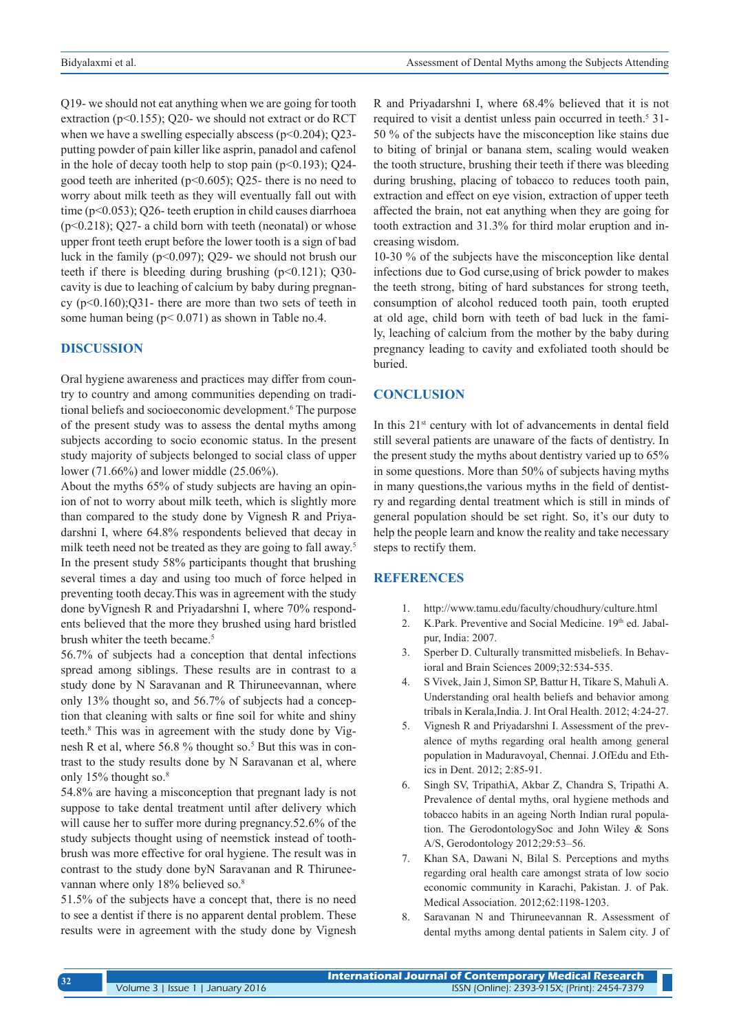Q19- we should not eat anything when we are going for tooth extraction (p<0.155); Q20- we should not extract or do RCT when we have a swelling especially abscess ( $p<0.204$ ); Q23putting powder of pain killer like asprin, panadol and cafenol in the hole of decay tooth help to stop pain ( $p<0.193$ ); Q24good teeth are inherited (p<0.605); Q25- there is no need to worry about milk teeth as they will eventually fall out with time (p<0.053); Q26- teeth eruption in child causes diarrhoea  $(p<0.218)$ ; Q27- a child born with teeth (neonatal) or whose upper front teeth erupt before the lower tooth is a sign of bad luck in the family (p<0.097); Q29- we should not brush our teeth if there is bleeding during brushing  $(p<0.121)$ ; Q30cavity is due to leaching of calcium by baby during pregnancy  $(p<0.160)$ ; $Q31$ - there are more than two sets of teeth in some human being  $(p< 0.071)$  as shown in Table no.4.

#### **DISCUSSION**

Oral hygiene awareness and practices may differ from country to country and among communities depending on traditional beliefs and socioeconomic development.<sup>6</sup> The purpose of the present study was to assess the dental myths among subjects according to socio economic status. In the present study majority of subjects belonged to social class of upper lower (71.66%) and lower middle (25.06%).

About the myths 65% of study subjects are having an opinion of not to worry about milk teeth, which is slightly more than compared to the study done by Vignesh R and Priyadarshni I, where 64.8% respondents believed that decay in milk teeth need not be treated as they are going to fall away.<sup>5</sup> In the present study 58% participants thought that brushing several times a day and using too much of force helped in preventing tooth decay.This was in agreement with the study done byVignesh R and Priyadarshni I, where 70% respondents believed that the more they brushed using hard bristled brush whiter the teeth became.<sup>5</sup>

56.7% of subjects had a conception that dental infections spread among siblings. These results are in contrast to a study done by N Saravanan and R Thiruneevannan, where only 13% thought so, and 56.7% of subjects had a conception that cleaning with salts or fine soil for white and shiny teeth.8 This was in agreement with the study done by Vignesh R et al, where 56.8 % thought so.<sup>5</sup> But this was in contrast to the study results done by N Saravanan et al, where only 15% thought so.<sup>8</sup>

54.8% are having a misconception that pregnant lady is not suppose to take dental treatment until after delivery which will cause her to suffer more during pregnancy.52.6% of the study subjects thought using of neemstick instead of toothbrush was more effective for oral hygiene. The result was in contrast to the study done byN Saravanan and R Thiruneevannan where only 18% believed so.<sup>8</sup>

51.5% of the subjects have a concept that, there is no need to see a dentist if there is no apparent dental problem. These results were in agreement with the study done by Vignesh R and Priyadarshni I, where 68.4% believed that it is not required to visit a dentist unless pain occurred in teeth.<sup>5</sup> 31-50 % of the subjects have the misconception like stains due to biting of brinjal or banana stem, scaling would weaken the tooth structure, brushing their teeth if there was bleeding during brushing, placing of tobacco to reduces tooth pain, extraction and effect on eye vision, extraction of upper teeth affected the brain, not eat anything when they are going for tooth extraction and 31.3% for third molar eruption and increasing wisdom.

10-30 % of the subjects have the misconception like dental infections due to God curse,using of brick powder to makes the teeth strong, biting of hard substances for strong teeth, consumption of alcohol reduced tooth pain, tooth erupted at old age, child born with teeth of bad luck in the family, leaching of calcium from the mother by the baby during pregnancy leading to cavity and exfoliated tooth should be buried.

#### **CONCLUSION**

In this 21<sup>st</sup> century with lot of advancements in dental field still several patients are unaware of the facts of dentistry. In the present study the myths about dentistry varied up to 65% in some questions. More than 50% of subjects having myths in many questions,the various myths in the field of dentistry and regarding dental treatment which is still in minds of general population should be set right. So, it's our duty to help the people learn and know the reality and take necessary steps to rectify them.

## **REFERENCES**

- 1. http://www.tamu.edu/faculty/choudhury/culture.html
- 2. K.Park. Preventive and Social Medicine. 19th ed. Jabalpur, India: 2007.
- 3. Sperber D. Culturally transmitted misbeliefs. In Behavioral and Brain Sciences 2009;32:534-535.
- 4. S Vivek, Jain J, Simon SP, Battur H, Tikare S, Mahuli A. Understanding oral health beliefs and behavior among tribals in Kerala,India. J. Int Oral Health. 2012; 4:24-27.
- 5. Vignesh R and Priyadarshni I. Assessment of the prevalence of myths regarding oral health among general population in Maduravoyal, Chennai. J.OfEdu and Ethics in Dent. 2012; 2:85-91.
- 6. Singh SV, TripathiA, Akbar Z, Chandra S, Tripathi A. Prevalence of dental myths, oral hygiene methods and tobacco habits in an ageing North Indian rural population. The GerodontologySoc and John Wiley & Sons A/S, Gerodontology 2012;29:53–56.
- 7. Khan SA, Dawani N, Bilal S. Perceptions and myths regarding oral health care amongst strata of low socio economic community in Karachi, Pakistan. J. of Pak. Medical Association. 2012;62:1198-1203.
- 8. Saravanan N and Thiruneevannan R. Assessment of dental myths among dental patients in Salem city. J of